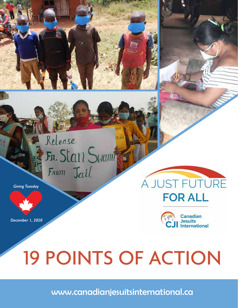

Can

*Giving Tuesday*

*December 1, 2020*

# A JUST FUTURE **FOR ALL**



# 19 POINTS OF ACTION

www.canadianjesuitsinternational.ca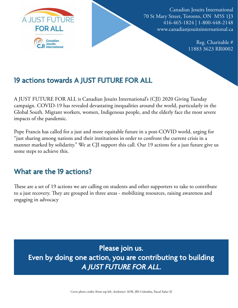

Canadian Jesuits International 70 St Mary Street, Toronto, ON M5S 1J3 416-465-1824 | 1-800-448-2148 www.canadianjesuitsinternational.ca

> Reg. Charitable # 11883 3623 RR0002

#### 19 actions towards A JUST FUTURE FOR ALL

A JUST FUTURE FOR ALL is Canadian Jesuits International's (CJI) 2020 Giving Tuesday campaign. COVID-19 has revealed devastating inequalities around the world, particularly in the Global South. Migrant workers, women, Indigenous people, and the elderly face the most severe impacts of the pandemic.

Pope Francis has called for a just and more equitable future in a post-COVID world, urging for "just sharing among nations and their institutions in order to confront the current crisis in a manner marked by solidarity." We at CJI support this call. Our 19 actions for a just future give us some steps to achieve this.

#### What are the 19 actions?

These are a set of 19 actions we are calling on students and other supporters to take to contribute to a just recovery. They are grouped in three areas - mobilizing resources, raising awareness and engaging in advocacy

Please join us. Even by doing one action, you are contributing to building A JUST FUTURE FOR ALL.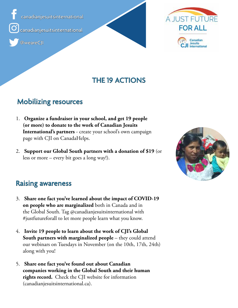canadianjesuitsinternational canadianjesuitsinternational





#### THE 19 ACTIONS

#### Mobilizing resources

- 1. **Organize a fundraiser in your school, and get 19 people (or more) to donate to the work of Canadian Jesuits International's partners** - create your school's own campaign page with CJI on CanadaHelps.
- 2. **Support our Global South partners with a donation of \$19** (or less or more – every bit goes a long way!).



#### Raising awareness

- 3. **Share one fact you've learned about the impact of COVID-19 on people who are marginalized** both in Canada and in the Global South. Tag @canadianjesuitsinternational with #justfutureforall to let more people learn what you know.
- 4. **Invite 19 people to learn about the work of CJI's Global South partners with marginalized people** – they could attend our webinars on Tuesdays in November (on the 10th, 17th, 24th) along with you!
- 5. **Share one fact you've found out about Canadian companies working in the Global South and their human rights record.** Check the CJI website for information (canadianjesuitsinternational.ca).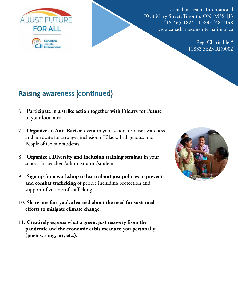

Canadian Jesuits International 70 St Mary Street, Toronto, ON M5S 1J3 416-465-1824 | 1-800-448-2148 www.canadianjesuitsinternational.ca

> Reg. Charitable # 11883 3623 RR0002

## Raising awareness (continued)

- 6. **Participate in a strike action together with Fridays for Future**  in your local area.
- 7. **Organize an Anti-Racism event** in your school to raise awareness and advocate for stronger inclusion of Black, Indigenous, and People of Colour students.
- 8. **Organize a Diversity and Inclusion training seminar** in your school for teachers/administrators/students.
- 9. **Sign up for a workshop to learn about just policies to prevent and combat trafficking** of people including protection and support of victims of trafficking.
- 10. **Share one fact you've learned about the need for sustained efforts to mitigate climate change.**
- 11. **Creatively express what a green, just recovery from the pandemic and the economic crisis means to you personally (poems, song, art, etc.).**